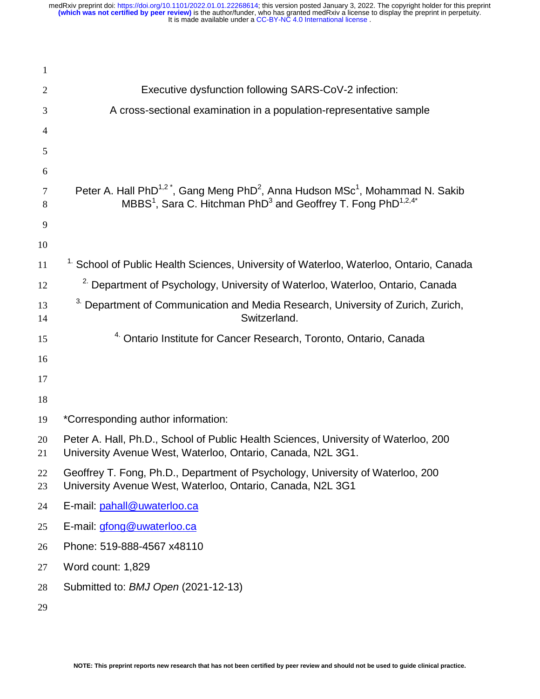| $\mathbf{1}$ |                                                                                                                                                                                                                       |
|--------------|-----------------------------------------------------------------------------------------------------------------------------------------------------------------------------------------------------------------------|
| 2            | Executive dysfunction following SARS-CoV-2 infection:                                                                                                                                                                 |
| 3            | A cross-sectional examination in a population-representative sample                                                                                                                                                   |
| 4            |                                                                                                                                                                                                                       |
| 5            |                                                                                                                                                                                                                       |
| 6            |                                                                                                                                                                                                                       |
| 7<br>8       | Peter A. Hall PhD <sup>1,2*</sup> , Gang Meng PhD <sup>2</sup> , Anna Hudson MSc <sup>1</sup> , Mohammad N. Sakib<br>MBBS <sup>1</sup> , Sara C. Hitchman PhD <sup>3</sup> and Geoffrey T. Fong PhD <sup>1,2,4*</sup> |
| 9            |                                                                                                                                                                                                                       |
| 10           |                                                                                                                                                                                                                       |
| 11           | <sup>1.</sup> School of Public Health Sciences, University of Waterloo, Waterloo, Ontario, Canada                                                                                                                     |
| 12           | <sup>2.</sup> Department of Psychology, University of Waterloo, Waterloo, Ontario, Canada                                                                                                                             |
| 13<br>14     | <sup>3.</sup> Department of Communication and Media Research, University of Zurich, Zurich,<br>Switzerland.                                                                                                           |
| 15           | <sup>4.</sup> Ontario Institute for Cancer Research, Toronto, Ontario, Canada                                                                                                                                         |
| 16           |                                                                                                                                                                                                                       |
| 17           |                                                                                                                                                                                                                       |
| 18           |                                                                                                                                                                                                                       |
| 19           | *Corresponding author information:                                                                                                                                                                                    |
| 20<br>21     | Peter A. Hall, Ph.D., School of Public Health Sciences, University of Waterloo, 200<br>University Avenue West, Waterloo, Ontario, Canada, N2L 3G1.                                                                    |
| 22<br>23     | Geoffrey T. Fong, Ph.D., Department of Psychology, University of Waterloo, 200<br>University Avenue West, Waterloo, Ontario, Canada, N2L 3G1                                                                          |
| 24           | E-mail: pahall@uwaterloo.ca                                                                                                                                                                                           |
| 25           | E-mail: <i>gfong@uwaterloo.ca</i>                                                                                                                                                                                     |
| 26           | Phone: 519-888-4567 x48110                                                                                                                                                                                            |
| 27           | Word count: 1,829                                                                                                                                                                                                     |
| 28           | Submitted to: BMJ Open (2021-12-13)                                                                                                                                                                                   |
| 29           |                                                                                                                                                                                                                       |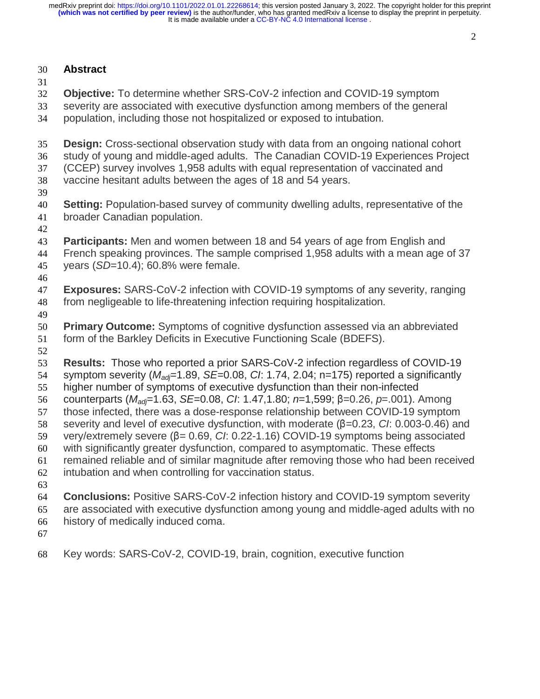## **Abstract**

**Objective:** To determine whether SRS-CoV-2 infection and COVID-19 symptom

- severity are associated with executive dysfunction among members of the general population, including those not hospitalized or exposed to intubation.
- **Design:** Cross-sectional observation study with data from an ongoing national cohort study of young and middle-aged adults. The Canadian COVID-19 Experiences Project (CCEP) survey involves 1,958 adults with equal representation of vaccinated and vaccine hesitant adults between the ages of 18 and 54 years. **Setting:** Population-based survey of community dwelling adults, representative of the broader Canadian population. **Participants:** Men and women between 18 and 54 years of age from English and French speaking provinces. The sample comprised 1,958 adults with a mean age of 37 years (*SD*=10.4); 60.8% were female. **Exposures:** SARS-CoV-2 infection with COVID-19 symptoms of any severity, ranging from negligeable to life-threatening infection requiring hospitalization. **Primary Outcome:** Symptoms of cognitive dysfunction assessed via an abbreviated form of the Barkley Deficits in Executive Functioning Scale (BDEFS). **Results:** Those who reported a prior SARS-CoV-2 infection regardless of COVID-19 symptom severity (*Madj*=1.89, *SE*=0.08, *CI*: 1.74, 2.04; n=175) reported a significantly higher number of symptoms of executive dysfunction than their non-infected 56 counterparts (*M<sub>adj</sub>*=1.63, *SE*=0.08, *CI*: 1.47,1.80; *n*=1,599; β=0.26, *p*=.001). Among<br>57 those infected, there was a dose-response relationship between COVID-19 symptor those infected, there was a dose-response relationship between COVID-19 symptom 58 severity and level of executive dysfunction, with moderate (β=0.23, *CI*: 0.003-0.46) and<br>59 very/extremely severe (β= 0.69, *CI*: 0.22-1.16) COVID-19 symptoms being associated 59 very/extremely severe (β= 0.69, *CI*: 0.22-1.16) COVID-19 symptoms being associated<br>60 with significantly greater dysfunction, compared to asymptomatic. These effects with significantly greater dysfunction, compared to asymptomatic. These effects remained reliable and of similar magnitude after removing those who had been received intubation and when controlling for vaccination status. **Conclusions:** Positive SARS-CoV-2 infection history and COVID-19 symptom severity

are associated with executive dysfunction among young and middle-aged adults with no history of medically induced coma.

- 
- Key words: SARS-CoV-2, COVID-19, brain, cognition, executive function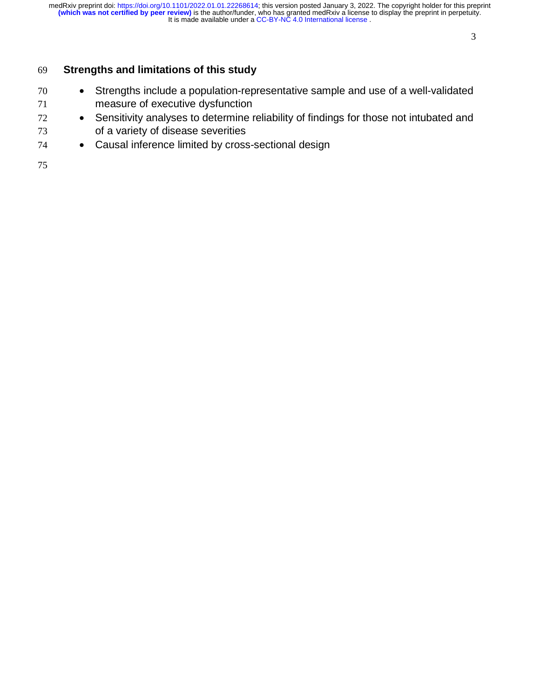### 

# **Strengths and limitations of this study**

- Strengths include a population-representative sample and use of a well-validated measure of executive dysfunction
- <sup>72</sup> Sensitivity analyses to determine reliability of findings for those not intubated and of a variety of disease severities
- Causal inference limited by cross-sectional design
-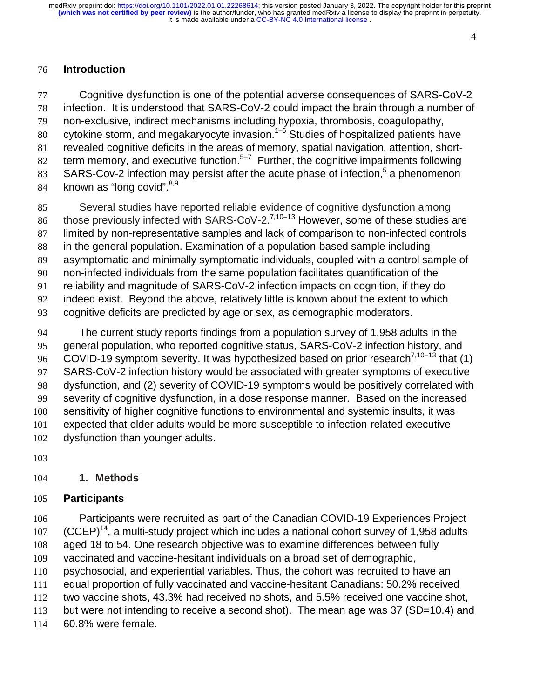#### 

## **Introduction**

Cognitive dysfunction is one of the potential adverse consequences of SARS-CoV-2 infection. It is understood that SARS-CoV-2 could impact the brain through a number of non-exclusive, indirect mechanisms including hypoxia, thrombosis, coagulopathy, 80 cytokine storm, and megakaryocyte invasion.<sup>1–6</sup> Studies of hospitalized patients have revealed cognitive deficits in the areas of memory, spatial navigation, attention, short-82 term memory, and executive function.<sup>5–7</sup> Further, the cognitive impairments following SARS-Cov-2 infection may persist after the acute phase of infection,<sup>5</sup> a phenomenon 84 known as "long covid".  $8,9$ 

Several studies have reported reliable evidence of cognitive dysfunction among 86 those previously infected with SARS-CoV-2.<sup>7,10–13</sup> However, some of these studies are limited by non-representative samples and lack of comparison to non-infected controls in the general population. Examination of a population-based sample including asymptomatic and minimally symptomatic individuals, coupled with a control sample of non-infected individuals from the same population facilitates quantification of the reliability and magnitude of SARS-CoV-2 infection impacts on cognition, if they do indeed exist. Beyond the above, relatively little is known about the extent to which cognitive deficits are predicted by age or sex, as demographic moderators.

The current study reports findings from a population survey of 1,958 adults in the general population, who reported cognitive status, SARS-CoV-2 infection history, and COVID-19 symptom severity. It was hypothesized based on prior research<sup>7,10–13</sup> that (1) SARS-CoV-2 infection history would be associated with greater symptoms of executive dysfunction, and (2) severity of COVID-19 symptoms would be positively correlated with severity of cognitive dysfunction, in a dose response manner. Based on the increased sensitivity of higher cognitive functions to environmental and systemic insults, it was expected that older adults would be more susceptible to infection-related executive dysfunction than younger adults.

### **1. Methods**

### **Participants**

Participants were recruited as part of the Canadian COVID-19 Experiences Project  $(CCEP)^{14}$ , a multi-study project which includes a national cohort survey of 1,958 adults aged 18 to 54. One research objective was to examine differences between fully vaccinated and vaccine-hesitant individuals on a broad set of demographic, psychosocial, and experiential variables. Thus, the cohort was recruited to have an equal proportion of fully vaccinated and vaccine-hesitant Canadians: 50.2% received two vaccine shots, 43.3% had received no shots, and 5.5% received one vaccine shot,

113 but were not intending to receive a second shot). The mean age was 37 (SD=10.4) and

60.8% were female.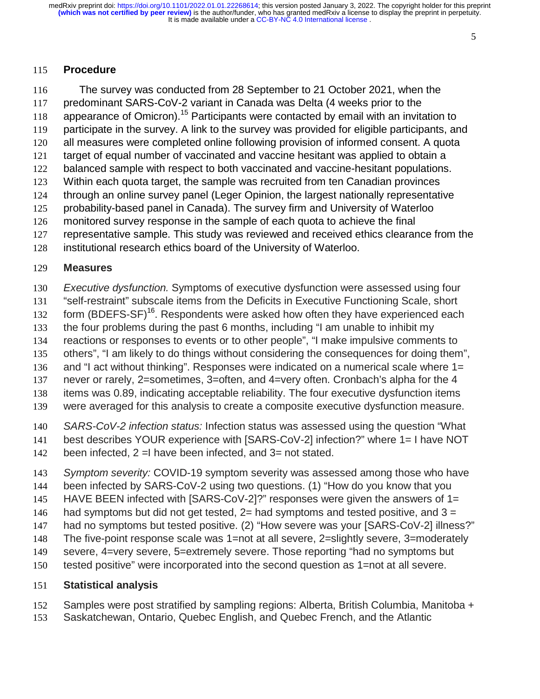### 

### **Procedure**

The survey was conducted from 28 September to 21 October 2021, when the predominant SARS-CoV-2 variant in Canada was Delta (4 weeks prior to the 118 appearance of Omicron).<sup>15</sup> Participants were contacted by email with an invitation to participate in the survey. A link to the survey was provided for eligible participants, and all measures were completed online following provision of informed consent. A quota target of equal number of vaccinated and vaccine hesitant was applied to obtain a balanced sample with respect to both vaccinated and vaccine-hesitant populations. Within each quota target, the sample was recruited from ten Canadian provinces through an online survey panel (Leger Opinion, the largest nationally representative probability-based panel in Canada). The survey firm and University of Waterloo monitored survey response in the sample of each quota to achieve the final representative sample. This study was reviewed and received ethics clearance from the institutional research ethics board of the University of Waterloo.

### **Measures**

*Executive dysfunction.* Symptoms of executive dysfunction were assessed using four

- "self-restraint" subscale items from the Deficits in Executive Functioning Scale, short
- 132 form (BDEFS-SF)<sup>16</sup>. Respondents were asked how often they have experienced each
- the four problems during the past 6 months, including "I am unable to inhibit my
- reactions or responses to events or to other people", "I make impulsive comments to
- others", "I am likely to do things without considering the consequences for doing them",
- and "I act without thinking". Responses were indicated on a numerical scale where 1=
- never or rarely, 2=sometimes, 3=often, and 4=very often. Cronbach's alpha for the 4 items was 0.89, indicating acceptable reliability. The four executive dysfunction items
- were averaged for this analysis to create a composite executive dysfunction measure.
- *SARS-CoV-2 infection status:* Infection status was assessed using the question "What
- best describes YOUR experience with [SARS-CoV-2] infection?" where 1= I have NOT
- been infected, 2 =I have been infected, and 3= not stated.
- *Symptom severity:* COVID-19 symptom severity was assessed among those who have
- been infected by SARS-CoV-2 using two questions. (1) "How do you know that you
- 145 HAVE BEEN infected with [SARS-CoV-2]?" responses were given the answers of 1=
- 146 had symptoms but did not get tested,  $2=$  had symptoms and tested positive, and  $3=$
- 147 had no symptoms but tested positive. (2) "How severe was your [SARS-CoV-2] illness?"
- The five-point response scale was 1=not at all severe, 2=slightly severe, 3=moderately
- severe, 4=very severe, 5=extremely severe. Those reporting "had no symptoms but
- tested positive" were incorporated into the second question as 1=not at all severe.

## **Statistical analysis**

- Samples were post stratified by sampling regions: Alberta, British Columbia, Manitoba +
- Saskatchewan, Ontario, Quebec English, and Quebec French, and the Atlantic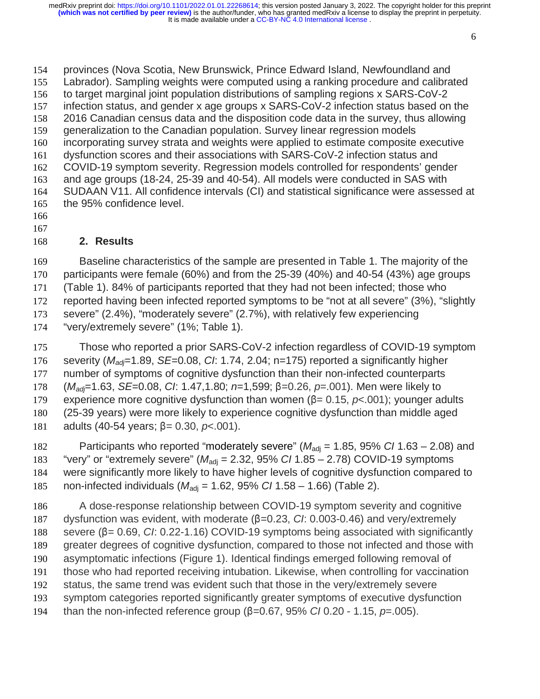provinces (Nova Scotia, New Brunswick, Prince Edward Island, Newfoundland and Labrador). Sampling weights were computed using a ranking procedure and calibrated to target marginal joint population distributions of sampling regions x SARS-CoV-2 infection status, and gender x age groups x SARS-CoV-2 infection status based on the 2016 Canadian census data and the disposition code data in the survey, thus allowing generalization to the Canadian population. Survey linear regression models incorporating survey strata and weights were applied to estimate composite executive dysfunction scores and their associations with SARS-CoV-2 infection status and COVID-19 symptom severity. Regression models controlled for respondents' gender and age groups (18-24, 25-39 and 40-54). All models were conducted in SAS with SUDAAN V11. All confidence intervals (CI) and statistical significance were assessed at the 95% confidence level.

- 
- 

## **2. Results**

Baseline characteristics of the sample are presented in Table 1. The majority of the participants were female (60%) and from the 25-39 (40%) and 40-54 (43%) age groups (Table 1). 84% of participants reported that they had not been infected; those who reported having been infected reported symptoms to be "not at all severe" (3%), "slightly severe" (2.4%), "moderately severe" (2.7%), with relatively few experiencing "very/extremely severe" (1%; Table 1).

Those who reported a prior SARS-CoV-2 infection regardless of COVID-19 symptom severity (*Madj*=1.89, *SE*=0.08, *CI*: 1.74, 2.04; n=175) reported a significantly higher number of symptoms of cognitive dysfunction than their non-infected counterparts 178 (*M<sub>adj</sub>*=1.63, *SE*=0.08, *CI*: 1.47,1.80; *n*=1,599; β=0.26, *p*=.001). Men were likely to<br>179 experience more cognitive dysfunction than women (β= 0.15, *p*<.001); younger ad 179 experience more cognitive dysfunction than women (β= 0.15,  $p$ <.001); younger adults 180 (25-39 years) were more likely to experience cognitive dysfunction than middle aged (25-39 years) were more likely to experience cognitive dysfunction than middle aged 181 adults (40-54 years;  $β = 0.30, p < .001$ ).

182 Participants who reported "moderately severe" ( $M_{\text{adj}}$  = 1.85, 95% *CI* 1.63 – 2.08) and 183 "very" or "extremely severe" ( $M_{\text{adi}}$  = 2.32, 95% *CI* 1.85 – 2.78) COVID-19 symptoms were significantly more likely to have higher levels of cognitive dysfunction compared to 185 non-infected individuals  $(M_{\text{adi}} = 1.62, 95\% \text{ C} / 1.58 - 1.66)$  (Table 2).

A dose-response relationship between COVID-19 symptom severity and cognitive 187 dysfunction was evident, with moderate (β=0.23, *CI*: 0.003-0.46) and very/extremely<br>188 severe (β=0.69, *CI*: 0.22-1.16) COVID-19 symptoms being associated with significar 188 severe (β= 0.69, *CI*: 0.22-1.16) COVID-19 symptoms being associated with significantly<br>189 greater degrees of cognitive dysfunction, compared to those not infected and those with greater degrees of cognitive dysfunction, compared to those not infected and those with asymptomatic infections (Figure 1). Identical findings emerged following removal of those who had reported receiving intubation. Likewise, when controlling for vaccination status, the same trend was evident such that those in the very/extremely severe symptom categories reported significantly greater symptoms of executive dysfunction 194 than the non-infected reference group (β=0.67, 95% *CI* 0.20 - 1.15, *p*=.005).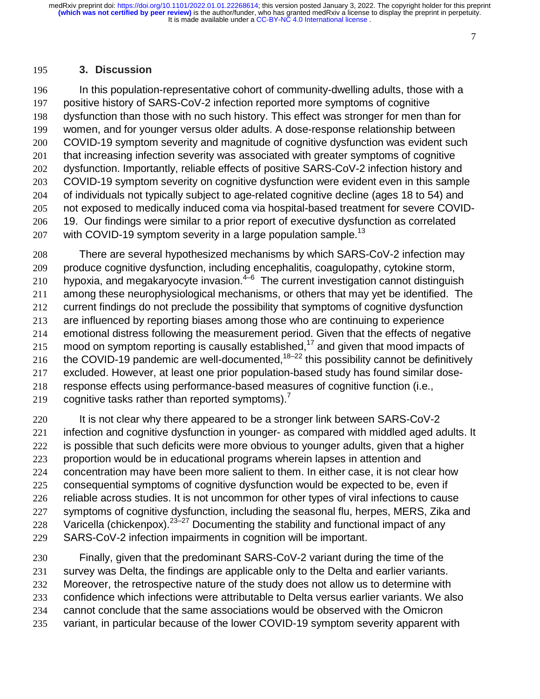#### 

### **3. Discussion**

In this population-representative cohort of community-dwelling adults, those with a positive history of SARS-CoV-2 infection reported more symptoms of cognitive dysfunction than those with no such history. This effect was stronger for men than for women, and for younger versus older adults. A dose-response relationship between COVID-19 symptom severity and magnitude of cognitive dysfunction was evident such 201 that increasing infection severity was associated with greater symptoms of cognitive dysfunction. Importantly, reliable effects of positive SARS-CoV-2 infection history and COVID-19 symptom severity on cognitive dysfunction were evident even in this sample of individuals not typically subject to age-related cognitive decline (ages 18 to 54) and not exposed to medically induced coma via hospital-based treatment for severe COVID-19. Our findings were similar to a prior report of executive dysfunction as correlated 207 with COVID-19 symptom severity in a large population sample.<sup>13</sup>

There are several hypothesized mechanisms by which SARS-CoV-2 infection may produce cognitive dysfunction, including encephalitis, coagulopathy, cytokine storm, 210 hypoxia, and megakaryocyte invasion. $4\overline{6}$  The current investigation cannot distinguish among these neurophysiological mechanisms, or others that may yet be identified. The current findings do not preclude the possibility that symptoms of cognitive dysfunction are influenced by reporting biases among those who are continuing to experience emotional distress following the measurement period. Given that the effects of negative 215 mood on symptom reporting is causally established,<sup>17</sup> and given that mood impacts of 216 the COVID-19 pandemic are well-documented,  $18-22$  this possibility cannot be definitively excluded. However, at least one prior population-based study has found similar dose-response effects using performance-based measures of cognitive function (i.e., 219 cognitive tasks rather than reported symptoms).<sup>7</sup>

220 It is not clear why there appeared to be a stronger link between SARS-CoV-2 221 infection and cognitive dysfunction in younger- as compared with middled aged adults. It 222 is possible that such deficits were more obvious to younger adults, given that a higher proportion would be in educational programs wherein lapses in attention and concentration may have been more salient to them. In either case, it is not clear how consequential symptoms of cognitive dysfunction would be expected to be, even if reliable across studies. It is not uncommon for other types of viral infections to cause symptoms of cognitive dysfunction, including the seasonal flu, herpes, MERS, Zika and 228 Varicella (chickenpox).  $23-27$  Documenting the stability and functional impact of any SARS-CoV-2 infection impairments in cognition will be important.

Finally, given that the predominant SARS-CoV-2 variant during the time of the survey was Delta, the findings are applicable only to the Delta and earlier variants. 232 Moreover, the retrospective nature of the study does not allow us to determine with confidence which infections were attributable to Delta versus earlier variants. We also cannot conclude that the same associations would be observed with the Omicron variant, in particular because of the lower COVID-19 symptom severity apparent with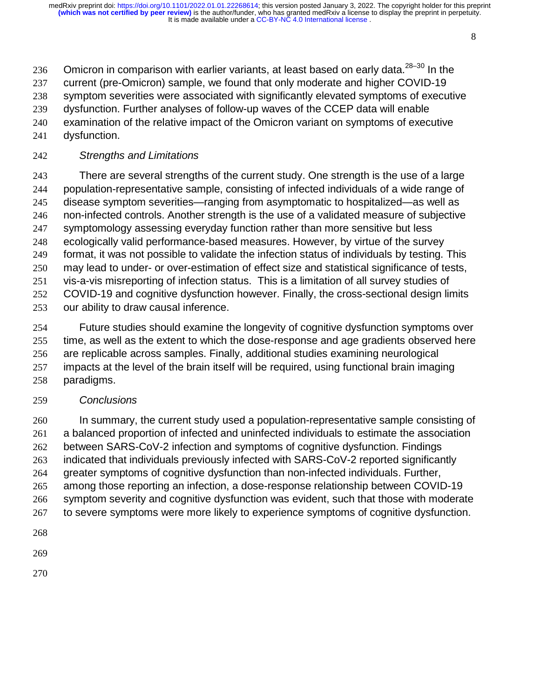236 Omicron in comparison with earlier variants, at least based on early data. $28-30$  In the current (pre-Omicron) sample, we found that only moderate and higher COVID-19 symptom severities were associated with significantly elevated symptoms of executive dysfunction. Further analyses of follow-up waves of the CCEP data will enable examination of the relative impact of the Omicron variant on symptoms of executive

dysfunction.

### *Strengths and Limitations*

There are several strengths of the current study. One strength is the use of a large population-representative sample, consisting of infected individuals of a wide range of disease symptom severities—ranging from asymptomatic to hospitalized—as well as non-infected controls. Another strength is the use of a validated measure of subjective 247 symptomology assessing everyday function rather than more sensitive but less ecologically valid performance-based measures. However, by virtue of the survey format, it was not possible to validate the infection status of individuals by testing. This may lead to under- or over-estimation of effect size and statistical significance of tests, vis-a-vis misreporting of infection status. This is a limitation of all survey studies of COVID-19 and cognitive dysfunction however. Finally, the cross-sectional design limits our ability to draw causal inference.

Future studies should examine the longevity of cognitive dysfunction symptoms over time, as well as the extent to which the dose-response and age gradients observed here are replicable across samples. Finally, additional studies examining neurological impacts at the level of the brain itself will be required, using functional brain imaging paradigms.

### *Conclusions*

In summary, the current study used a population-representative sample consisting of a balanced proportion of infected and uninfected individuals to estimate the association between SARS-CoV-2 infection and symptoms of cognitive dysfunction. Findings indicated that individuals previously infected with SARS-CoV-2 reported significantly greater symptoms of cognitive dysfunction than non-infected individuals. Further, among those reporting an infection, a dose-response relationship between COVID-19 symptom severity and cognitive dysfunction was evident, such that those with moderate 267 to severe symptoms were more likely to experience symptoms of cognitive dysfunction.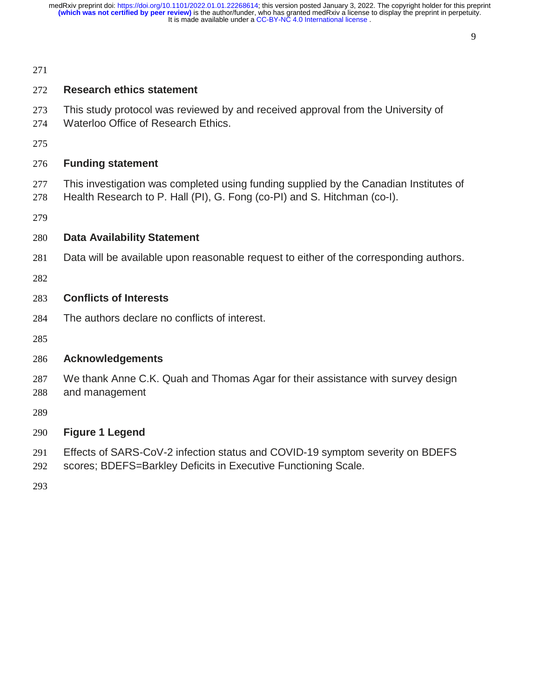#### 

### **Research ethics statement**

- This study protocol was reviewed by and received approval from the University of
- Waterloo Office of Research Ethics.
- 

### **Funding statement**

- This investigation was completed using funding supplied by the Canadian Institutes of
- Health Research to P. Hall (PI), G. Fong (co-PI) and S. Hitchman (co-I).
- 

### **Data Availability Statement**

Data will be available upon reasonable request to either of the corresponding authors.

### **Conflicts of Interests**

The authors declare no conflicts of interest.

### **Acknowledgements**

We thank Anne C.K. Quah and Thomas Agar for their assistance with survey design and management

## **Figure 1 Legend**

- Effects of SARS-CoV-2 infection status and COVID-19 symptom severity on BDEFS
- scores; BDEFS=Barkley Deficits in Executive Functioning Scale.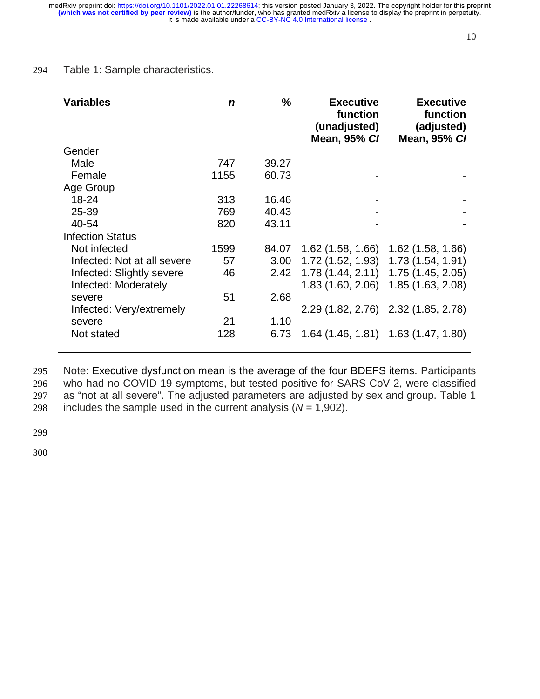#### 294 Table 1: Sample characteristics.

| <b>Variables</b>            | n    | $\%$  | <b>Executive</b><br>function<br>(unadjusted)<br><b>Mean, 95% CI</b> | <b>Executive</b><br>function<br>(adjusted)<br><b>Mean, 95% CI</b> |
|-----------------------------|------|-------|---------------------------------------------------------------------|-------------------------------------------------------------------|
| Gender                      |      |       |                                                                     |                                                                   |
| Male                        | 747  | 39.27 |                                                                     |                                                                   |
| Female                      | 1155 | 60.73 |                                                                     |                                                                   |
| Age Group                   |      |       |                                                                     |                                                                   |
| 18-24                       | 313  | 16.46 |                                                                     |                                                                   |
| 25-39                       | 769  | 40.43 |                                                                     |                                                                   |
| 40-54                       | 820  | 43.11 |                                                                     |                                                                   |
| <b>Infection Status</b>     |      |       |                                                                     |                                                                   |
| Not infected                | 1599 | 84.07 | $1.62$ (1.58, 1.66)                                                 | $1.62$ (1.58, 1.66)                                               |
| Infected: Not at all severe | 57   | 3.00  | 1.72(1.52, 1.93)                                                    | 1.73 (1.54, 1.91)                                                 |
| Infected: Slightly severe   | 46   | 2.42  | 1.78(1.44, 2.11)                                                    | 1.75 (1.45, 2.05)                                                 |
| Infected: Moderately        |      |       | 1.83(1.60, 2.06)                                                    | 1.85 (1.63, 2.08)                                                 |
| severe                      | 51   | 2.68  |                                                                     |                                                                   |
| Infected: Very/extremely    |      |       |                                                                     | 2.29 (1.82, 2.76) 2.32 (1.85, 2.78)                               |
| severe                      | 21   | 1.10  |                                                                     |                                                                   |
| Not stated                  | 128  | 6.73  |                                                                     | $1.64$ (1.46, 1.81) 1.63 (1.47, 1.80)                             |

Note: Executive dysfunction mean is the average of the four BDEFS items. Participants who had no COVID-19 symptoms, but tested positive for SARS-CoV-2, were classified as "not at all severe". The adjusted parameters are adjusted by sex and group. Table 1 298 includes the sample used in the current analysis  $(N = 1,902)$ .

299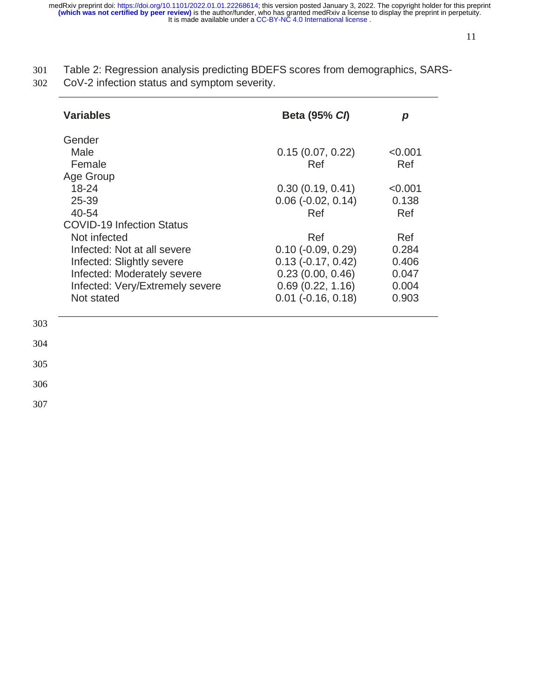301 Table 2: Regression analysis predicting BDEFS scores from demographics, SARS-302 CoV-2 infection status and symptom severity.

| Variables                        | <b>Beta (95% CI)</b>        | р       |
|----------------------------------|-----------------------------|---------|
| Gender                           |                             |         |
| Male                             | 0.15(0.07, 0.22)            | < 0.001 |
| Female                           | Ref                         | Ref     |
| Age Group                        |                             |         |
| $18 - 24$                        | 0.30(0.19, 0.41)            | < 0.001 |
| 25-39                            | $0.06$ ( $-0.02$ , $0.14$ ) | 0.138   |
| 40-54                            | Ref                         | Ref     |
| <b>COVID-19 Infection Status</b> |                             |         |
| Not infected                     | Ref                         | Ref     |
| Infected: Not at all severe      | $0.10$ ( $-0.09$ , $0.29$ ) | 0.284   |
| Infected: Slightly severe        | $0.13$ ( $-0.17$ , $0.42$ ) | 0.406   |
| Infected: Moderately severe      | 0.23(0.00, 0.46)            | 0.047   |
| Infected: Very/Extremely severe  | 0.69(0.22, 1.16)            | 0.004   |
| Not stated                       | $0.01$ ( $-0.16$ , $0.18$ ) | 0.903   |

304

303

305

306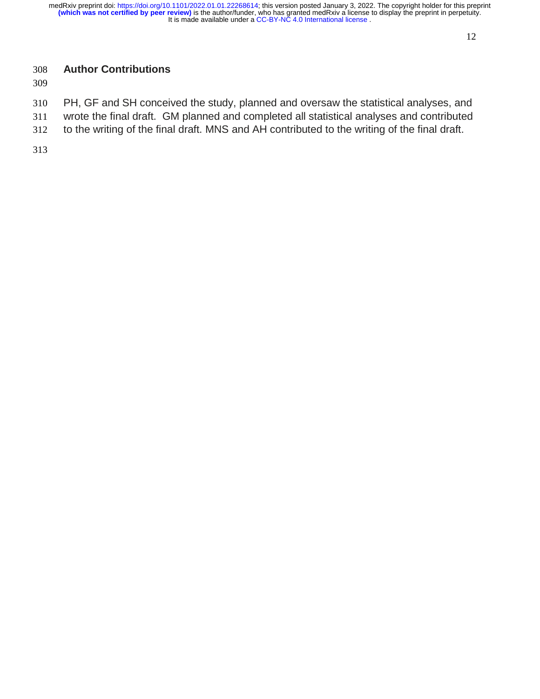# **Author Contributions**

- PH, GF and SH conceived the study, planned and oversaw the statistical analyses, and
- wrote the final draft. GM planned and completed all statistical analyses and contributed
- to the writing of the final draft. MNS and AH contributed to the writing of the final draft.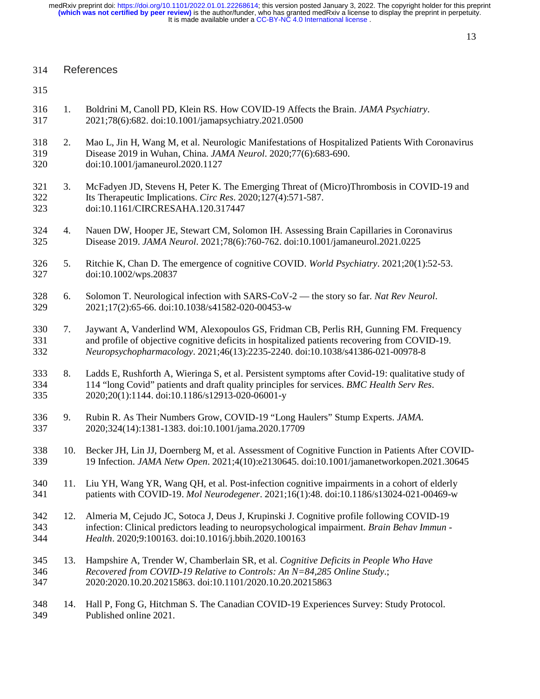| References<br>314 |
|-------------------|
|-------------------|

- 315
- 316 1. Boldrini M, Canoll PD, Klein RS. How COVID-19 Affects the Brain. *JAMA Psychiatry*. 317 2021;78(6):682. doi:10.1001/jamapsychiatry.2021.0500
- 318 2. Mao L, Jin H, Wang M, et al. Neurologic Manifestations of Hospitalized Patients With Coronavirus 319 Disease 2019 in Wuhan, China. *JAMA Neurol*. 2020;77(6):683-690. 320 doi:10.1001/jamaneurol.2020.1127
- 321 3. McFadyen JD, Stevens H, Peter K. The Emerging Threat of (Micro)Thrombosis in COVID-19 and 322 Its Therapeutic Implications. *Circ Res*. 2020;127(4):571-587. 323 doi:10.1161/CIRCRESAHA.120.317447
- 324 4. Nauen DW, Hooper JE, Stewart CM, Solomon IH. Assessing Brain Capillaries in Coronavirus 325 Disease 2019. *JAMA Neurol*. 2021;78(6):760-762. doi:10.1001/jamaneurol.2021.0225
- 326 5. Ritchie K, Chan D. The emergence of cognitive COVID. *World Psychiatry*. 2021;20(1):52-53. 327 doi:10.1002/wps.20837
- 328 6. Solomon T. Neurological infection with SARS-CoV-2 the story so far. *Nat Rev Neurol*. 329 2021;17(2):65-66. doi:10.1038/s41582-020-00453-w
- 330 7. Jaywant A, Vanderlind WM, Alexopoulos GS, Fridman CB, Perlis RH, Gunning FM. Frequency 331 and profile of objective cognitive deficits in hospitalized patients recovering from COVID-19. 332 *Neuropsychopharmacology*. 2021;46(13):2235-2240. doi:10.1038/s41386-021-00978-8
- 333 8. Ladds E, Rushforth A, Wieringa S, et al. Persistent symptoms after Covid-19: qualitative study of 334 114 "long Covid" patients and draft quality principles for services. *BMC Health Serv Res*. 335 2020;20(1):1144. doi:10.1186/s12913-020-06001-y
- 336 9. Rubin R. As Their Numbers Grow, COVID-19 "Long Haulers" Stump Experts. *JAMA*. 337 2020;324(14):1381-1383. doi:10.1001/jama.2020.17709
- 338 10. Becker JH, Lin JJ, Doernberg M, et al. Assessment of Cognitive Function in Patients After COVID-339 19 Infection. *JAMA Netw Open*. 2021;4(10):e2130645. doi:10.1001/jamanetworkopen.2021.30645
- 340 11. Liu YH, Wang YR, Wang QH, et al. Post-infection cognitive impairments in a cohort of elderly 341 patients with COVID-19. *Mol Neurodegener*. 2021;16(1):48. doi:10.1186/s13024-021-00469-w
- 342 12. Almeria M, Cejudo JC, Sotoca J, Deus J, Krupinski J. Cognitive profile following COVID-19 343 infection: Clinical predictors leading to neuropsychological impairment. *Brain Behav Immun -*  344 *Health*. 2020;9:100163. doi:10.1016/j.bbih.2020.100163
- 345 13. Hampshire A, Trender W, Chamberlain SR, et al. *Cognitive Deficits in People Who Have*  346 *Recovered from COVID-19 Relative to Controls: An N=84,285 Online Study*.; 347 2020:2020.10.20.20215863. doi:10.1101/2020.10.20.20215863
- 348 14. Hall P, Fong G, Hitchman S. The Canadian COVID-19 Experiences Survey: Study Protocol. 349 Published online 2021.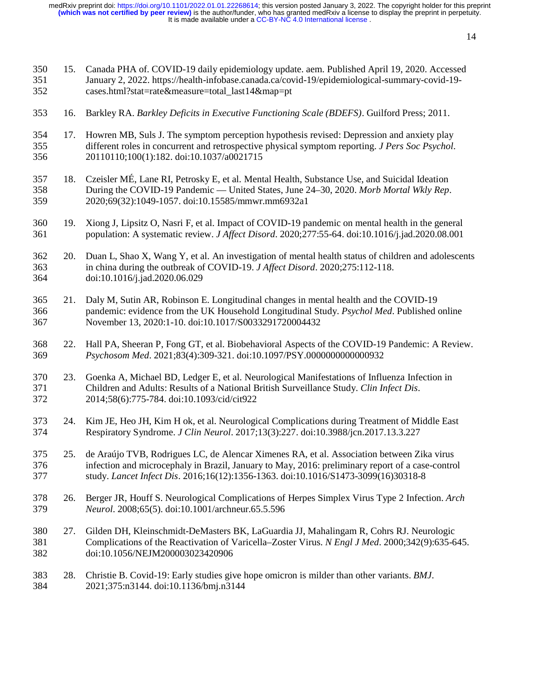| 350<br>351<br>352 | 15. | Canada PHA of. COVID-19 daily epidemiology update. aem. Published April 19, 2020. Accessed<br>January 2, 2022. https://health-infobase.canada.ca/covid-19/epidemiological-summary-covid-19-<br>cases.html?stat=rate&measure=total_last14↦=pt                                        |
|-------------------|-----|-------------------------------------------------------------------------------------------------------------------------------------------------------------------------------------------------------------------------------------------------------------------------------------|
| 353               | 16. | Barkley RA. Barkley Deficits in Executive Functioning Scale (BDEFS). Guilford Press; 2011.                                                                                                                                                                                          |
| 354<br>355<br>356 | 17. | Howren MB, Suls J. The symptom perception hypothesis revised: Depression and anxiety play<br>different roles in concurrent and retrospective physical symptom reporting. J Pers Soc Psychol.<br>20110110;100(1):182. doi:10.1037/a0021715                                           |
| 357<br>358<br>359 | 18. | Czeisler MÉ, Lane RI, Petrosky E, et al. Mental Health, Substance Use, and Suicidal Ideation<br>During the COVID-19 Pandemic — United States, June 24-30, 2020. Morb Mortal Wkly Rep.<br>2020;69(32):1049-1057. doi:10.15585/mmwr.mm6932a1                                          |
| 360<br>361        | 19. | Xiong J, Lipsitz O, Nasri F, et al. Impact of COVID-19 pandemic on mental health in the general<br>population: A systematic review. <i>J Affect Disord.</i> 2020;277:55-64. doi:10.1016/j.jad.2020.08.001                                                                           |
| 362<br>363<br>364 | 20. | Duan L, Shao X, Wang Y, et al. An investigation of mental health status of children and adolescents<br>in china during the outbreak of COVID-19. J Affect Disord. 2020;275:112-118.<br>doi:10.1016/j.jad.2020.06.029                                                                |
| 365<br>366<br>367 | 21. | Daly M, Sutin AR, Robinson E. Longitudinal changes in mental health and the COVID-19<br>pandemic: evidence from the UK Household Longitudinal Study. Psychol Med. Published online<br>November 13, 2020:1-10. doi:10.1017/S0033291720004432                                         |
| 368<br>369        | 22. | Hall PA, Sheeran P, Fong GT, et al. Biobehavioral Aspects of the COVID-19 Pandemic: A Review.<br>Psychosom Med. 2021;83(4):309-321. doi:10.1097/PSY.0000000000000932                                                                                                                |
| 370<br>371<br>372 | 23. | Goenka A, Michael BD, Ledger E, et al. Neurological Manifestations of Influenza Infection in<br>Children and Adults: Results of a National British Surveillance Study. Clin Infect Dis.<br>2014;58(6):775-784. doi:10.1093/cid/cit922                                               |
| 373<br>374        | 24. | Kim JE, Heo JH, Kim H ok, et al. Neurological Complications during Treatment of Middle East<br>Respiratory Syndrome. J Clin Neurol. 2017;13(3):227. doi:10.3988/jcn.2017.13.3.227                                                                                                   |
| 375<br>376<br>377 | 25. | de Araújo TVB, Rodrigues LC, de Alencar Ximenes RA, et al. Association between Zika virus<br>infection and microcephaly in Brazil, January to May, 2016: preliminary report of a case-control<br>study. Lancet Infect Dis. 2016;16(12):1356-1363. doi:10.1016/S1473-3099(16)30318-8 |
| 378<br>379        | 26. | Berger JR, Houff S. Neurological Complications of Herpes Simplex Virus Type 2 Infection. Arch<br>Neurol. 2008;65(5). doi:10.1001/archneur.65.5.596                                                                                                                                  |
| 380<br>381<br>382 | 27. | Gilden DH, Kleinschmidt-DeMasters BK, LaGuardia JJ, Mahalingam R, Cohrs RJ. Neurologic<br>Complications of the Reactivation of Varicella-Zoster Virus. N Engl J Med. 2000;342(9):635-645.<br>doi:10.1056/NEJM200003023420906                                                        |
| 383<br>384        | 28. | Christie B. Covid-19: Early studies give hope omicron is milder than other variants. BMJ.<br>2021;375:n3144. doi:10.1136/bmj.n3144                                                                                                                                                  |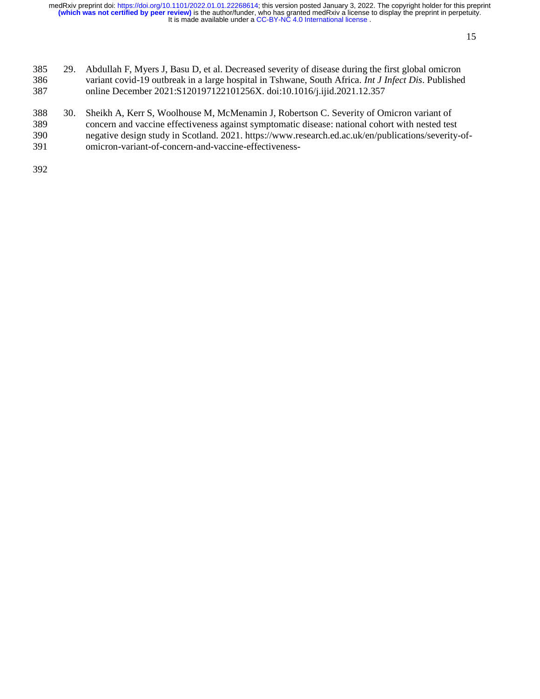- 385 29. Abdullah F, Myers J, Basu D, et al. Decreased severity of disease during the first global omicron 386 variant covid-19 outbreak in a large hospital in Tshwane, South Africa. *Int J Infect Dis*. Published 387 online December 2021:S120197122101256X. doi:10.1016/j.ijid.2021.12.357
- 388 30. Sheikh A, Kerr S, Woolhouse M, McMenamin J, Robertson C. Severity of Omicron variant of 389 concern and vaccine effectiveness against symptomatic disease: national cohort with nested test 390 negative design study in Scotland. 2021. https://www.research.ed.ac.uk/en/publications/severity-of-
- 391 omicron-variant-of-concern-and-vaccine-effectiveness-